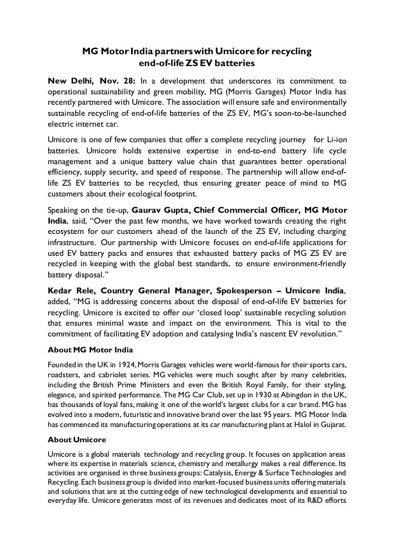## **MG Motor India partners with Umicore for recycling end-of-life ZS EV batteries**

**New Delhi, Nov. 28:** In a development that underscores its commitment to operational sustainability and green mobility, MG (Morris Garages) Motor India has recently partnered with Umicore. The association will ensure safe and environmentally sustainable recycling of end-of-life batteries of the ZS EV, MG's soon-to-be-launched electric internet car.

Umicore is one of few companies that offer a complete recycling journey for Li-ion batteries. Umicore holds extensive expertise in end-to-end battery life cycle management and a unique battery value chain that guarantees better operational efficiency, supply security, and speed of response. The partnership will allow end-oflife ZS EV batteries to be recycled, thus ensuring greater peace of mind to MG customers about their ecological footprint.

Speaking on the tie-up, **Gaurav Gupta, Chief Commercial Officer, MG Motor India**, said, "Over the past few months, we have worked towards creating the right ecosystem for our customers ahead of the launch of the ZS EV, including charging infrastructure. Our partnership with Umicore focuses on end-of-life applications for used EV battery packs and ensures that exhausted battery packs of MG ZS EV are recycled in keeping with the global best standards, to ensure environment-friendly battery disposal."

**Kedar Rele, Country General Manager, Spokesperson – Umicore India**, added, "MG is addressing concerns about the disposal of end-of-life EV batteries for recycling. Umicore is excited to offer our 'closed loop' sustainable recycling solution that ensures minimal waste and impact on the environment. This is vital to the commitment of facilitating EV adoption and catalysing India's nascent EV revolution."

## **About MG Motor India**

Founded in the UK in 1924, Morris Garages vehicles were world-famous for their sports cars, roadsters, and cabriolet series. MG vehicles were much sought after by many celebrities, including the British Prime Ministers and even the British Royal Family, for their styling, elegance, and spirited performance. The MG Car Club, set up in 1930 at Abingdon in the UK, has thousands of loyal fans, making it one of the world's largest clubs for a car brand. MG has evolved into a modern, futuristic and innovative brand over the last 95 years. MG Motor India has commenced its manufacturing operations at its car manufacturing plant at Halol in Gujarat.

## **About Umicore**

Umicore is a global materials technology and recycling group. It focuses on application areas where its expertise in materials science, chemistry and metallurgy makes a real difference. Its activities are organised in three business groups: Catalysis, Energy & Surface Technologies and Recycling. Each business group is divided into market-focused business units offering materials and solutions that are at the cutting edge of new technological developments and essential to everyday life. Umicore generates most of its revenues and dedicates most of its R&D efforts